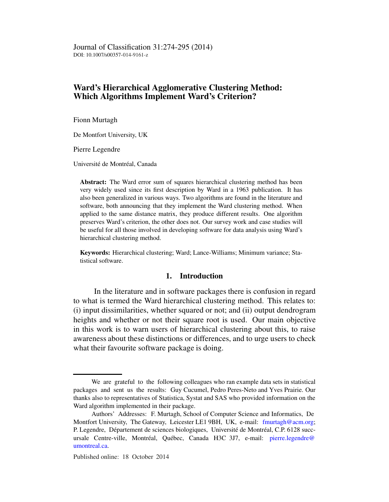# **Ward's Hierarchical Agglomerative Clustering Method: Which Algorithms Implement Ward's Criterion?**

Fionn Murtagh

De Montfort University, UK

Pierre Legendre

Université de Montréal, Canada

**Abstract:** The Ward error sum of squares hierarchical clustering method has been very widely used since its first description by Ward in a 1963 publication. It has also been generalized in various ways. Two algorithms are found in the literature and software, both announcing that they implement the Ward clustering method. When applied to the same distance matrix, they produce different results. One algorithm preserves Ward's criterion, the other does not. Our survey work and case studies will be useful for all those involved in developing software for data analysis using Ward's hierarchical clustering method.

**Keywords:** Hierarchical clustering; Ward; Lance-Williams; Minimum variance; Statistical software.

## **1. Introduction**

In the literature and in software packages there is confusion in regard to what is termed the Ward hierarchical clustering method. This relates to: (i) input dissimilarities, whether squared or not; and (ii) output dendrogram heights and whether or not their square root is used. Our main objective in this work is to warn users of hierarchical clustering about this, to raise awareness about these distinctions or differences, and to urge users to check what their favourite software package is doing.

We are grateful to the following colleagues who ran example data sets in statistical packages and sent us the results: Guy Cucumel, Pedro Peres-Neto and Yves Prairie. Our thanks also to representatives of Statistica, Systat and SAS who provided information on the Ward algorithm implemented in their package.

Authors' Addresses: F. Murtagh, School of Computer Science and Informatics, De Montfort University, The Gateway, Leicester LE1 9BH, UK, e-mail: fmurtagh@acm.org; P. Legendre, Département de sciences biologiques, Université de Montréal, C.P. 6128 succursale Centre-ville, Montréal, Québec, Canada H3C 3J7, e-mail: pierre.legendre@ umontreal.ca.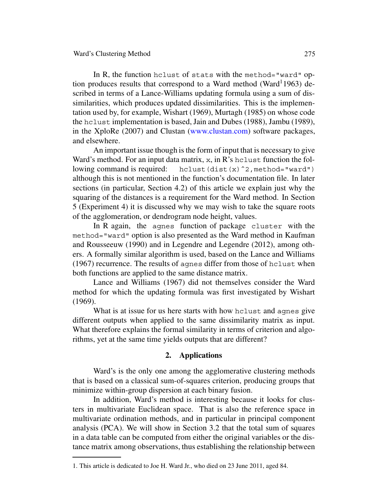In R, the function holust of stats with the method="ward" option produces results that correspond to a Ward method (Ward<sup>1</sup>1963) described in terms of a Lance-Williams updating formula using a sum of dissimilarities, which produces updated dissimilarities. This is the implementation used by, for example, Wishart (1969), Murtagh (1985) on whose code the hclust implementation is based, Jain and Dubes (1988), Jambu (1989), in the XploRe (2007) and Clustan (www.clustan.com) software packages, and elsewhere.

An important issue though is the form of input that is necessary to give Ward's method. For an input data matrix, x, in R's holast function the following command is required: hclust  $(\text{dist}(x)$  $^2)$ , method="ward") although this is not mentioned in the function's documentation file. In later sections (in particular, Section 4.2) of this article we explain just why the squaring of the distances is a requirement for the Ward method. In Section 5 (Experiment 4) it is discussed why we may wish to take the square roots of the agglomeration, or dendrogram node height, values.

In R again, the agnes function of package cluster with the method="ward" option is also presented as the Ward method in Kaufman and Rousseeuw (1990) and in Legendre and Legendre (2012), among others. A formally similar algorithm is used, based on the Lance and Williams (1967) recurrence. The results of agnes differ from those of hclust when both functions are applied to the same distance matrix.

Lance and Williams (1967) did not themselves consider the Ward method for which the updating formula was first investigated by Wishart (1969).

What is at issue for us here starts with how holist and agnes give different outputs when applied to the same dissimilarity matrix as input. What therefore explains the formal similarity in terms of criterion and algorithms, yet at the same time yields outputs that are different?

## **2. Applications**

Ward's is the only one among the agglomerative clustering methods that is based on a classical sum-of-squares criterion, producing groups that minimize within-group dispersion at each binary fusion.

In addition, Ward's method is interesting because it looks for clusters in multivariate Euclidean space. That is also the reference space in multivariate ordination methods, and in particular in principal component analysis (PCA). We will show in Section 3.2 that the total sum of squares in a data table can be computed from either the original variables or the distance matrix among observations, thus establishing the relationship between

<sup>1.</sup> This article is dedicated to Joe H. Ward Jr., who died on 23 June 2011, aged 84.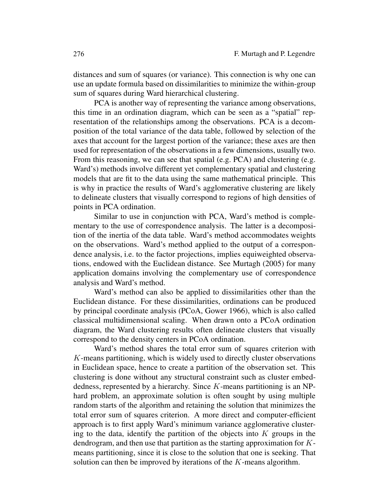distances and sum of squares (or variance). This connection is why one can use an update formula based on dissimilarities to minimize the within-group sum of squares during Ward hierarchical clustering.

PCA is another way of representing the variance among observations, this time in an ordination diagram, which can be seen as a "spatial" representation of the relationships among the observations. PCA is a decomposition of the total variance of the data table, followed by selection of the axes that account for the largest portion of the variance; these axes are then used for representation of the observations in a few dimensions, usually two. From this reasoning, we can see that spatial (e.g. PCA) and clustering (e.g. Ward's) methods involve different yet complementary spatial and clustering models that are fit to the data using the same mathematical principle. This is why in practice the results of Ward's agglomerative clustering are likely to delineate clusters that visually correspond to regions of high densities of points in PCA ordination.

Similar to use in conjunction with PCA, Ward's method is complementary to the use of correspondence analysis. The latter is a decomposition of the inertia of the data table. Ward's method accommodates weights on the observations. Ward's method applied to the output of a correspondence analysis, i.e. to the factor projections, implies equiweighted observations, endowed with the Euclidean distance. See Murtagh (2005) for many application domains involving the complementary use of correspondence analysis and Ward's method.

Ward's method can also be applied to dissimilarities other than the Euclidean distance. For these dissimilarities, ordinations can be produced by principal coordinate analysis (PCoA, Gower 1966), which is also called classical multidimensional scaling. When drawn onto a PCoA ordination diagram, the Ward clustering results often delineate clusters that visually correspond to the density centers in PCoA ordination.

Ward's method shares the total error sum of squares criterion with K-means partitioning, which is widely used to directly cluster observations in Euclidean space, hence to create a partition of the observation set. This clustering is done without any structural constraint such as cluster embeddedness, represented by a hierarchy. Since  $K$ -means partitioning is an NPhard problem, an approximate solution is often sought by using multiple random starts of the algorithm and retaining the solution that minimizes the total error sum of squares criterion. A more direct and computer-efficient approach is to first apply Ward's minimum variance agglomerative clustering to the data, identify the partition of the objects into  $K$  groups in the dendrogram, and then use that partition as the starting approximation for  $K$ means partitioning, since it is close to the solution that one is seeking. That solution can then be improved by iterations of the K-means algorithm.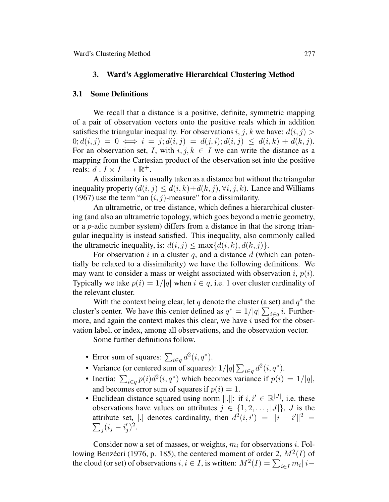### **3. Ward's Agglomerative Hierarchical Clustering Method**

#### **3.1 Some Definitions**

We recall that a distance is a positive, definite, symmetric mapping of a pair of observation vectors onto the positive reals which in addition satisfies the triangular inequality. For observations i, j, k we have:  $d(i, j)$  $0; d(i, j) = 0 \iff i = j; d(i, j) = d(j, i); d(i, j) \leq d(i, k) + d(k, j).$ For an observation set, I, with  $i, j, k \in I$  we can write the distance as a mapping from the Cartesian product of the observation set into the positive reals:  $d: I \times I \longrightarrow \mathbb{R}^+$ .

A dissimilarity is usually taken as a distance but without the triangular inequality property  $(d(i, j) \leq d(i, k) + d(k, j), \forall i, j, k)$ . Lance and Williams (1967) use the term "an  $(i, j)$ -measure" for a dissimilarity.

An ultrametric, or tree distance, which defines a hierarchical clustering (and also an ultrametric topology, which goes beyond a metric geometry, or a *p*-adic number system) differs from a distance in that the strong triangular inequality is instead satisfied. This inequality, also commonly called the ultrametric inequality, is:  $d(i, j) \leq \max\{d(i, k), d(k, j)\}.$ 

For observation i in a cluster q, and a distance  $d$  (which can potentially be relaxed to a dissimilarity) we have the following definitions. We may want to consider a mass or weight associated with observation i,  $p(i)$ . Typically we take  $p(i)=1/|q|$  when  $i \in q$ , i.e. 1 over cluster cardinality of the relevant cluster.

With the context being clear, let q denote the cluster (a set) and  $q^*$  the cluster's center. We have this center defined as  $q^* = 1/|q| \sum_{i \in q} i$ . Furthermore, and again the context makes this clear, we have  $i$  used for the observation label, or index, among all observations, and the observation vector.

Some further definitions follow.

- Error sum of squares:  $\sum_{i \in q} d^2(i, q^*)$ .
- Variance (or centered sum of squares):  $1/|q| \sum_{i \in q} d^2(i, q^*)$ .
- Inertia:  $\sum_{i\in q} p(i)d^2(i, q^*)$  which becomes variance if  $p(i)=1/|q|$ , and becomes error sum of squares if  $p(i)=1$ .
- Euclidean distance squared using norm  $\|\cdot\|$ : if  $i, i' \in \mathbb{R}^{|J|}$ , i.e. these observations have values on attributes  $j \in \{1, 2, \ldots, |J|\}$ , J is the attribute set, |.| denotes cardinality, then  $d^2(i, i') = ||i - i'||^2 =$  $\sum_j (i_j - i'_j)^2.$

Consider now a set of masses, or weights,  $m_i$  for observations i. Following Benzécri (1976, p. 185), the centered moment of order 2,  $M^2(I)$  of the cloud (or set) of observations  $i, i \in I$ , is written:  $M^2(I) = \sum_{i \in I} m_i ||i -$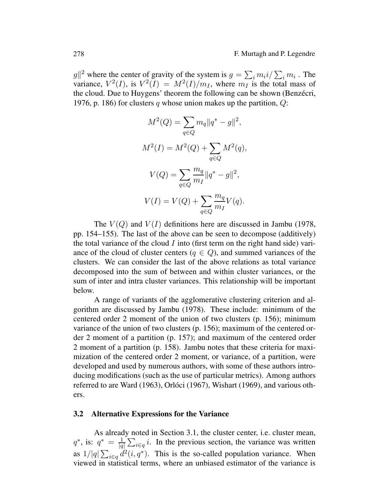g $||^2$  where the center of gravity of the system is  $g = \sum_i m_i i / \sum_i m_i$ . The variance,  $V^2(I)$ , is  $V^2(I) = M^2(I)/m_I$ , where  $m_I$  is the total mass of the cloud. Due to Huygens' theorem the following can be shown (Benzécri, 1976, p. 186) for clusters q whose union makes up the partition,  $Q$ :

$$
M^{2}(Q) = \sum_{q \in Q} m_{q} ||q^{*} - g||^{2},
$$
  
\n
$$
M^{2}(I) = M^{2}(Q) + \sum_{q \in Q} M^{2}(q),
$$
  
\n
$$
V(Q) = \sum_{q \in Q} \frac{m_{q}}{m_{I}} ||q^{*} - g||^{2},
$$
  
\n
$$
V(I) = V(Q) + \sum_{q \in Q} \frac{m_{q}}{m_{I}} V(q).
$$

The  $V(Q)$  and  $V(I)$  definitions here are discussed in Jambu (1978, pp. 154–155). The last of the above can be seen to decompose (additively) the total variance of the cloud  $I$  into (first term on the right hand side) variance of the cloud of cluster centers ( $q \in Q$ ), and summed variances of the clusters. We can consider the last of the above relations as total variance decomposed into the sum of between and within cluster variances, or the sum of inter and intra cluster variances. This relationship will be important below.

A range of variants of the agglomerative clustering criterion and algorithm are discussed by Jambu (1978). These include: minimum of the centered order 2 moment of the union of two clusters (p. 156); minimum variance of the union of two clusters (p. 156); maximum of the centered order 2 moment of a partition (p. 157); and maximum of the centered order 2 moment of a partition (p. 158). Jambu notes that these criteria for maximization of the centered order 2 moment, or variance, of a partition, were developed and used by numerous authors, with some of these authors introducing modifications (such as the use of particular metrics). Among authors referred to are Ward (1963), Orlóci (1967), Wishart (1969), and various others.

### **3.2 Alternative Expressions for the Variance**

As already noted in Section 3.1, the cluster center, i.e. cluster mean,  $q^*$ , is:  $q^* = \frac{1}{|q|}$  $\sum_{i \in q} i$ . In the previous section, the variance was written as  $1/|q| \sum_{i \in q} d^2(i, q^*)$ . This is the so-called population variance. When viewed in statistical terms, where an unbiased estimator of the variance is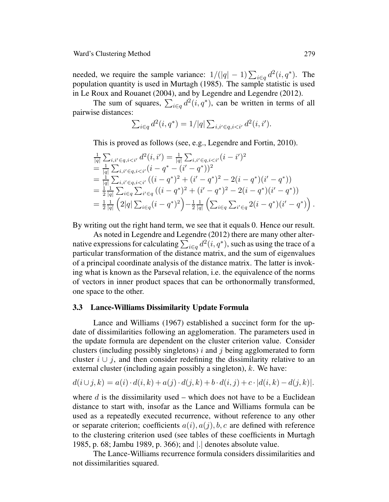needed, we require the sample variance:  $1/(|q| - 1) \sum_{i \in q} d^2(i, q^*)$ . The population quantity is used in Murtagh (1985). The sample statistic is used in Le Roux and Rouanet (2004), and by Legendre and Legendre (2012).

The sum of squares,  $\sum_{i \in q} d^2(i, q^*)$ , can be written in terms of all pairwise distances:

$$
\sum_{i \in q} d^2(i, q^*) = 1/|q| \sum_{i, i' \in q, i < i'} d^2(i, i').
$$

This is proved as follows (see, e.g., Legendre and Fortin, 2010).

$$
\begin{split}\n\frac{1}{|q|} \sum_{i,i' \in q, i < i'} d^2(i, i') = \frac{1}{|q|} \sum_{i,i' \in q, i < i'} (i - i')^2 \\
= \frac{1}{|q|} \sum_{i,i' \in q, i < i'} (i - q^* - (i' - q^*))^2 \\
= \frac{1}{|q|} \sum_{i,i' \in q, i < i'} ((i - q^*)^2 + (i' - q^*)^2 - 2(i - q^*)(i' - q^*)) \\
= \frac{1}{2} \frac{1}{|q|} \sum_{i \in q} \sum_{i' \in q} ((i - q^*)^2 + (i' - q^*)^2 - 2(i - q^*)(i' - q^*)) \\
= \frac{1}{2} \frac{1}{|q|} (2|q| \sum_{i \in q} (i - q^*)^2 - \frac{1}{2} \frac{1}{|q|} (\sum_{i \in q} \sum_{i' \in q} 2(i - q^*)(i' - q^*))\n\end{split}
$$

By writing out the right hand term, we see that it equals 0. Hence our result.

As noted in Legendre and Legendre (2012) there are many other alternative expressions for calculating  $\sum_{i\in q} d^2(i, q^*)$ , such as using the trace of a particular transformation of the distance matrix, and the sum of eigenvalues of a principal coordinate analysis of the distance matrix. The latter is invoking what is known as the Parseval relation, i.e. the equivalence of the norms of vectors in inner product spaces that can be orthonormally transformed, one space to the other.

#### **3.3 Lance-Williams Dissimilarity Update Formula**

Lance and Williams (1967) established a succinct form for the update of dissimilarities following an agglomeration. The parameters used in the update formula are dependent on the cluster criterion value. Consider clusters (including possibly singletons)  $i$  and  $j$  being agglomerated to form cluster  $i \cup j$ , and then consider redefining the dissimilarity relative to an external cluster (including again possibly a singleton),  $k$ . We have:

$$
d(i \cup j, k) = a(i) \cdot d(i,k) + a(j) \cdot d(j,k) + b \cdot d(i,j) + c \cdot |d(i,k) - d(j,k)|.
$$

where  $d$  is the dissimilarity used – which does not have to be a Euclidean distance to start with, insofar as the Lance and Williams formula can be used as a repeatedly executed recurrence, without reference to any other or separate criterion; coefficients  $a(i)$ ,  $a(j)$ ,  $b$ ,  $c$  are defined with reference to the clustering criterion used (see tables of these coefficients in Murtagh 1985, p. 68; Jambu 1989, p. 366); and |.| denotes absolute value.

The Lance-Williams recurrence formula considers dissimilarities and not dissimilarities squared.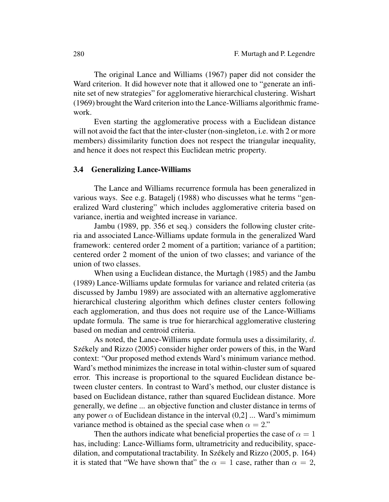The original Lance and Williams (1967) paper did not consider the Ward criterion. It did however note that it allowed one to "generate an infinite set of new strategies" for agglomerative hierarchical clustering. Wishart (1969) brought the Ward criterion into the Lance-Williams algorithmic framework.

Even starting the agglomerative process with a Euclidean distance will not avoid the fact that the inter-cluster (non-singleton, i.e. with 2 or more members) dissimilarity function does not respect the triangular inequality, and hence it does not respect this Euclidean metric property.

### **3.4 Generalizing Lance-Williams**

The Lance and Williams recurrence formula has been generalized in various ways. See e.g. Batagelj (1988) who discusses what he terms "generalized Ward clustering" which includes agglomerative criteria based on variance, inertia and weighted increase in variance.

Jambu (1989, pp. 356 et seq.) considers the following cluster criteria and associated Lance-Williams update formula in the generalized Ward framework: centered order 2 moment of a partition; variance of a partition; centered order 2 moment of the union of two classes; and variance of the union of two classes.

When using a Euclidean distance, the Murtagh (1985) and the Jambu (1989) Lance-Williams update formulas for variance and related criteria (as discussed by Jambu 1989) are associated with an alternative agglomerative hierarchical clustering algorithm which defines cluster centers following each agglomeration, and thus does not require use of the Lance-Williams update formula. The same is true for hierarchical agglomerative clustering based on median and centroid criteria.

As noted, the Lance-Williams update formula uses a dissimilarity, d. Székely and Rizzo (2005) consider higher order powers of this, in the Ward context: "Our proposed method extends Ward's minimum variance method. Ward's method minimizes the increase in total within-cluster sum of squared error. This increase is proportional to the squared Euclidean distance between cluster centers. In contrast to Ward's method, our cluster distance is based on Euclidean distance, rather than squared Euclidean distance. More generally, we define ... an objective function and cluster distance in terms of any power  $\alpha$  of Euclidean distance in the interval (0,2] ... Ward's mimimum variance method is obtained as the special case when  $\alpha = 2$ ."

Then the authors indicate what beneficial properties the case of  $\alpha = 1$ has, including: Lance-Williams form, ultrametricity and reducibility, spacedilation, and computational tractability. In Székely and Rizzo (2005, p. 164) it is stated that "We have shown that" the  $\alpha = 1$  case, rather than  $\alpha = 2$ ,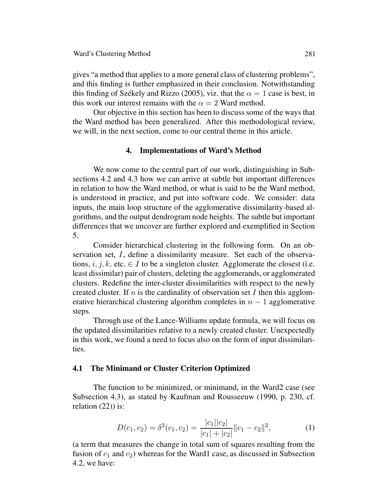gives "a method that applies to a more general class of clustering problems", and this finding is further emphasized in their conclusion. Notwithstanding this finding of Székely and Rizzo (2005), viz. that the  $\alpha = 1$  case is best, in this work our interest remains with the  $\alpha = 2$  Ward method.

Our objective in this section has been to discuss some of the ways that the Ward method has been generalized. After this methodological review, we will, in the next section, come to our central theme in this article.

### **4. Implementations of Ward's Method**

We now come to the central part of our work, distinguishing in Subsections 4.2 and 4.3 how we can arrive at subtle but important differences in relation to how the Ward method, or what is said to be the Ward method, is understood in practice, and put into software code. We consider: data inputs, the main loop structure of the agglomerative dissimilarity-based algorithms, and the output dendrogram node heights. The subtle but important differences that we uncover are further explored and exemplified in Section 5.

Consider hierarchical clustering in the following form. On an observation set, I, define a dissimilarity measure. Set each of the observations, i, j, k, etc.  $\in I$  to be a singleton cluster. Agglomerate the closest (i.e. least dissimilar) pair of clusters, deleting the agglomerands, or agglomerated clusters. Redefine the inter-cluster dissimilarities with respect to the newly created cluster. If  $n$  is the cardinality of observation set  $I$  then this agglomerative hierarchical clustering algorithm completes in  $n - 1$  agglomerative steps.

Through use of the Lance-Williams update formula, we will focus on the updated dissimilarities relative to a newly created cluster. Unexpectedly in this work, we found a need to focus also on the form of input dissimilarities.

#### **4.1 The Minimand or Cluster Criterion Optimized**

The function to be minimized, or minimand, in the Ward2 case (see Subsection 4.3), as stated by Kaufman and Rousseeuw (1990, p. 230, cf. relation  $(22)$ ) is:

$$
D(c_1, c_2) = \delta^2(c_1, c_2) = \frac{|c_1||c_2|}{|c_1| + |c_2|} ||c_1 - c_2||^2,
$$
 (1)

(a term that measures the change in total sum of squares resulting from the fusion of  $c_1$  and  $c_2$ ) whereas for the Ward1 case, as discussed in Subsection 4.2, we have: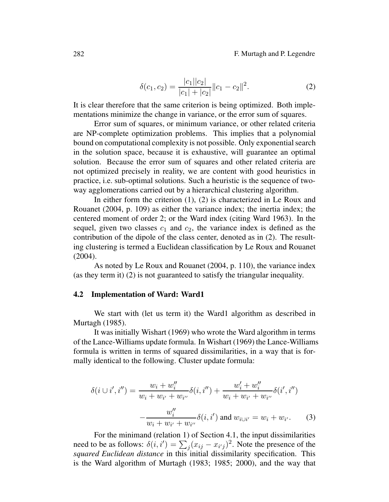$$
\delta(c_1, c_2) = \frac{|c_1||c_2|}{|c_1| + |c_2|} ||c_1 - c_2||^2.
$$
 (2)

It is clear therefore that the same criterion is being optimized. Both implementations minimize the change in variance, or the error sum of squares.

Error sum of squares, or minimum variance, or other related criteria are NP-complete optimization problems. This implies that a polynomial bound on computational complexity is not possible. Only exponential search in the solution space, because it is exhaustive, will guarantee an optimal solution. Because the error sum of squares and other related criteria are not optimized precisely in reality, we are content with good heuristics in practice, i.e. sub-optimal solutions. Such a heuristic is the sequence of twoway agglomerations carried out by a hierarchical clustering algorithm.

In either form the criterion (1), (2) is characterized in Le Roux and Rouanet (2004, p. 109) as either the variance index; the inertia index; the centered moment of order 2; or the Ward index (citing Ward 1963). In the sequel, given two classes  $c_1$  and  $c_2$ , the variance index is defined as the contribution of the dipole of the class center, denoted as in (2). The resulting clustering is termed a Euclidean classification by Le Roux and Rouanet (2004).

As noted by Le Roux and Rouanet (2004, p. 110), the variance index (as they term it) (2) is not guaranteed to satisfy the triangular inequality.

### **4.2 Implementation of Ward: Ward1**

We start with (let us term it) the Ward1 algorithm as described in Murtagh (1985).

It was initially Wishart (1969) who wrote the Ward algorithm in terms of the Lance-Williams update formula. In Wishart (1969) the Lance-Williams formula is written in terms of squared dissimilarities, in a way that is formally identical to the following. Cluster update formula:

$$
\delta(i \cup i', i'') = \frac{w_i + w_i''}{w_i + w_{i'} + w_{i''}} \delta(i, i'') + \frac{w_i' + w_i''}{w_i + w_{i'} + w_{i''}} \delta(i', i'')
$$

$$
-\frac{w_i''}{w_i + w_{i'} + w_{i''}} \delta(i, i') \text{ and } w_{i \cup i'} = w_i + w_{i'}.
$$
 (3)

For the minimand (relation 1) of Section 4.1, the input dissimilarities need to be as follows:  $\delta(i, i') = \sum_j (x_{ij} - x_{i'j})^2$ . Note the presence of the *squared Euclidean distance* in this initial dissimilarity specification. This is the Ward algorithm of Murtagh (1983; 1985; 2000), and the way that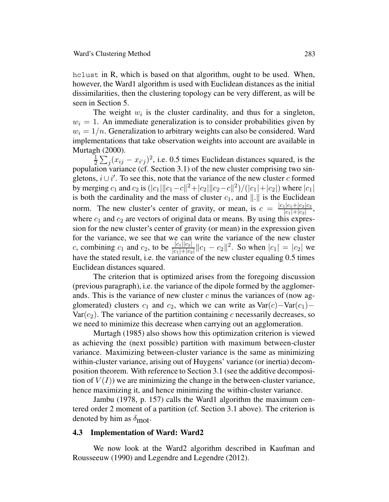hclust in R, which is based on that algorithm, ought to be used. When, however, the Ward1 algorithm is used with Euclidean distances as the initial dissimilarities, then the clustering topology can be very different, as will be seen in Section 5.

The weight  $w_i$  is the cluster cardinality, and thus for a singleton,  $w_i = 1$ . An immediate generalization is to consider probabilities given by  $w_i = 1/n$ . Generalization to arbitrary weights can also be considered. Ward implementations that take observation weights into account are available in Murtagh (2000).

1  $\frac{1}{2}\sum_{j}(x_{ij}-x_{i'j})^2$ , i.e. 0.5 times Euclidean distances squared, is the population variance (cf. Section 3.1) of the new cluster comprising two singletons,  $i \cup i'$ . To see this, note that the variance of the new cluster c formed by merging  $c_1$  and  $c_2$  is  $(|c_1|\|c_1-c\|^2+|c_2|\|c_2-c\|^2)/(|c_1|+|c_2|)$  where  $|c_1|$ is both the cardinality and the mass of cluster  $c_1$ , and  $\| \cdot \|$  is the Euclidean norm. The new cluster's center of gravity, or mean, is  $c = \frac{|c_1|c_1+|c_2|c_2}{|c_1|+|c_2|}$ , where  $c_1$  and  $c_2$  are vectors of original data or means. By using this expression for the new cluster's center of gravity (or mean) in the expression given for the variance, we see that we can write the variance of the new cluster c, combining  $c_1$  and  $c_2$ , to be  $\frac{|c_1||c_2|}{|c_1|+|c_2|}||c_1-c_2||^2$ . So when  $|c_1| = |c_2|$  we have the stated result, i.e. the variance of the new cluster equaling 0.5 times Euclidean distances squared.

The criterion that is optimized arises from the foregoing discussion (previous paragraph), i.e. the variance of the dipole formed by the agglomerands. This is the variance of new cluster  $c$  minus the variances of (now agglomerated) clusters  $c_1$  and  $c_2$ , which we can write as Var $(c)$ −Var $(c_1)$ −  $Var(c_2)$ . The variance of the partition containing c necessarily decreases, so we need to minimize this decrease when carrying out an agglomeration.

Murtagh (1985) also shows how this optimization criterion is viewed as achieving the (next possible) partition with maximum between-cluster variance. Maximizing between-cluster variance is the same as minimizing within-cluster variance, arising out of Huygens' variance (or inertia) decomposition theorem. With reference to Section 3.1 (see the additive decomposition of  $V(I)$ ) we are minimizing the change in the between-cluster variance, hence maximizing it, and hence minimizing the within-cluster variance.

Jambu (1978, p. 157) calls the Ward1 algorithm the maximum centered order 2 moment of a partition (cf. Section 3.1 above). The criterion is denoted by him as  $\delta_{\text{mot}}$ .

## **4.3 Implementation of Ward: Ward2**

We now look at the Ward2 algorithm described in Kaufman and Rousseeuw (1990) and Legendre and Legendre (2012).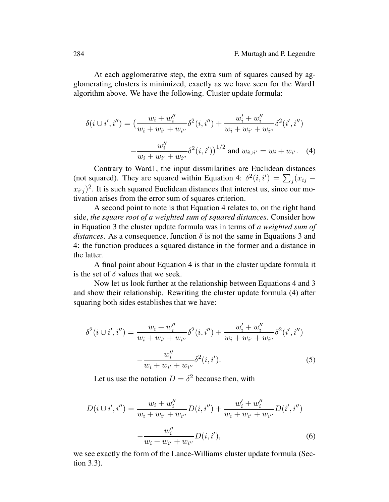At each agglomerative step, the extra sum of squares caused by agglomerating clusters is minimized, exactly as we have seen for the Ward1 algorithm above. We have the following. Cluster update formula:

$$
\delta(i \cup i', i'') = \left(\frac{w_i + w_i''}{w_i + w_{i'} + w_{i''}} \delta^2(i, i'') + \frac{w_i' + w_i''}{w_i + w_{i'} + w_{i''}} \delta^2(i', i'')\right)
$$

$$
-\frac{w_i''}{w_i + w_{i'} + w_{i''}} \delta^2(i, i')\right)^{1/2} \text{ and } w_{i \cup i'} = w_i + w_{i'}.
$$
 (4)

Contrary to Ward1, the input dissmilarities are Euclidean distances (not squared). They are squared within Equation 4:  $\delta^2(i, i') = \sum_j (x_{ij} (x_{i'j})^2$ . It is such squared Euclidean distances that interest us, since our motivation arises from the error sum of squares criterion.

A second point to note is that Equation 4 relates to, on the right hand side, *the square root of a weighted sum of squared distances*. Consider how in Equation 3 the cluster update formula was in terms of *a weighted sum of distances*. As a consequence, function  $\delta$  is not the same in Equations 3 and 4: the function produces a squared distance in the former and a distance in the latter.

A final point about Equation 4 is that in the cluster update formula it is the set of  $\delta$  values that we seek.

Now let us look further at the relationship between Equations 4 and 3 and show their relationship. Rewriting the cluster update formula (4) after squaring both sides establishes that we have:

$$
\delta^{2}(i \cup i', i'') = \frac{w_{i} + w_{i}''}{w_{i} + w_{i'} + w_{i''}} \delta^{2}(i, i'') + \frac{w_{i}' + w_{i}''}{w_{i} + w_{i'} + w_{i''}} \delta^{2}(i', i'')
$$

$$
-\frac{w_{i}''}{w_{i} + w_{i'} + w_{i''}} \delta^{2}(i, i').
$$
(5)

Let us use the notation  $D = \delta^2$  because then, with

$$
D(i \cup i', i'') = \frac{w_i + w_i''}{w_i + w_{i'} + w_{i''}} D(i, i'') + \frac{w_i' + w_i''}{w_i + w_{i'} + w_{i''}} D(i', i'')
$$

$$
-\frac{w_i''}{w_i + w_{i'} + w_{i''}} D(i, i'), \tag{6}
$$

we see exactly the form of the Lance-Williams cluster update formula (Section 3.3).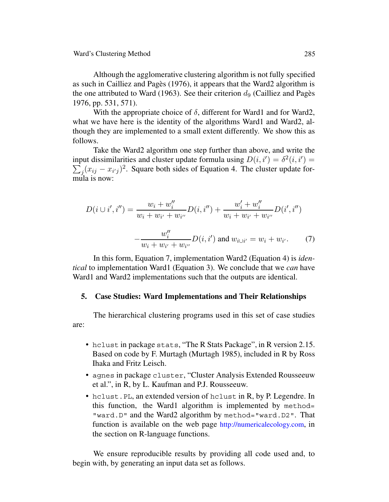Although the agglomerative clustering algorithm is not fully specified as such in Cailliez and Pagès (1976), it appears that the Ward2 algorithm is the one attributed to Ward (1963). See their criterion  $d_9$  (Cailliez and Pagès 1976, pp. 531, 571).

With the appropriate choice of  $\delta$ , different for Ward1 and for Ward2, what we have here is the identity of the algorithms Ward1 and Ward2, although they are implemented to a small extent differently. We show this as follows.

Take the Ward2 algorithm one step further than above, and write the input dissimilarities and cluster update formula using  $D(i, i') = \delta^2(i, i') =$  $\sum_{j} (x_{ij} - x_{i'j})^2$ . Square both sides of Equation 4. The cluster update formula is now:

$$
D(i \cup i', i'') = \frac{w_i + w_i''}{w_i + w_{i'} + w_{i''}} D(i, i'') + \frac{w_i' + w_i''}{w_i + w_{i'} + w_{i''}} D(i', i'')
$$

$$
-\frac{w_i''}{w_i + w_{i'} + w_{i''}} D(i, i') \text{ and } w_{i \cup i'} = w_i + w_{i'}.
$$
 (7)

In this form, Equation 7, implementation Ward2 (Equation 4) is *identical* to implementation Ward1 (Equation 3). We conclude that we *can* have Ward1 and Ward2 implementations such that the outputs are identical.

### **5. Case Studies: Ward Implementations and Their Relationships**

The hierarchical clustering programs used in this set of case studies are:

- hclust in package stats, "The R Stats Package", in R version 2.15. Based on code by F. Murtagh (Murtagh 1985), included in R by Ross Ihaka and Fritz Leisch.
- agnes in package cluster, "Cluster Analysis Extended Rousseeuw et al.", in R, by L. Kaufman and P.J. Rousseeuw.
- hclust. PL, an extended version of hclust in R, by P. Legendre. In this function, the Ward1 algorithm is implemented by method= "ward.D" and the Ward2 algorithm by method="ward.D2". That function is available on the web page http://numericalecology.com, in the section on R-language functions.

We ensure reproducible results by providing all code used and, to begin with, by generating an input data set as follows.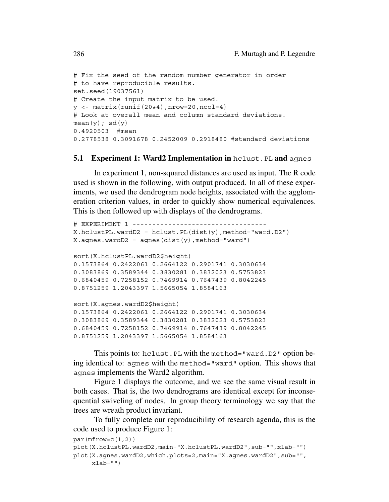```
# Fix the seed of the random number generator in order
# to have reproducible results.
set.seed(19037561)
# Create the input matrix to be used.
y \le - matrix(runif(20*4), nrow=20, ncol=4)
# Look at overall mean and column standard deviations.
mean(y); sd(y)0.4920503 #mean
0.2778538 0.3091678 0.2452009 0.2918480 #standard deviations
```
### **5.1 Experiment 1: Ward2 Implementation in** helust. PL and agnes

In experiment 1, non-squared distances are used as input. The R code used is shown in the following, with output produced. In all of these experiments, we used the dendrogram node heights, associated with the agglomeration criterion values, in order to quickly show numerical equivalences. This is then followed up with displays of the dendrograms.

```
# EXPERIMENT 1 ----------------------------------
X.hclustPL.wardD2 = hclust.PL(dist(y),method="ward.D2")
X \text{.} \square agnes.wardD2 = agnes(dist(y), method="ward")
sort(X.hclustPL.wardD2$height)
0.1573864 0.2422061 0.2664122 0.2901741 0.3030634
0.3083869 0.3589344 0.3830281 0.3832023 0.5753823
0.6840459 0.7258152 0.7469914 0.7647439 0.8042245
0.8751259 1.2043397 1.5665054 1.8584163
sort(X.agnes.wardD2$height)
0.1573864 0.2422061 0.2664122 0.2901741 0.3030634
0.3083869 0.3589344 0.3830281 0.3832023 0.5753823
0.6840459 0.7258152 0.7469914 0.7647439 0.8042245
0.8751259 1.2043397 1.5665054 1.8584163
```
This points to: hclust.PL with the method="ward.D2" option being identical to: agnes with the method="ward" option. This shows that agnes implements the Ward2 algorithm.

Figure 1 displays the outcome, and we see the same visual result in both cases. That is, the two dendrograms are identical except for inconsequential swiveling of nodes. In group theory terminology we say that the trees are wreath product invariant.

To fully complete our reproducibility of research agenda, this is the code used to produce Figure 1:

```
par(mfrow=c(1,2))
plot(X.hclustPL.wardD2,main="X.hclustPL.wardD2",sub="",xlab="")
plot(X.agnes.wardD2,which.plots=2,main="X.agnes.wardD2",sub="",
     xlabel="="right"="math>
```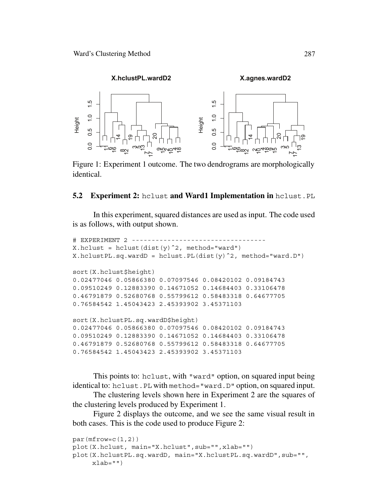

Figure 1: Experiment 1 outcome. The two dendrograms are morphologically identical.

### **5.2 Experiment 2:** hclust **and Ward1 Implementation in** hclust.PL

In this experiment, squared distances are used as input. The code used is as follows, with output shown.

```
# EXPERIMENT 2 ----------------------------------
X.hclust = hclust(dist(y)^2, method="ward")X.hclustPL.sq.wardD = hclust.PL(dist(y)ˆ2, method="ward.D")
sort(X.hclust$height)
0.02477046 0.05866380 0.07097546 0.08420102 0.09184743
0.09510249 0.12883390 0.14671052 0.14684403 0.33106478
0.46791879 0.52680768 0.55799612 0.58483318 0.64677705
0.76584542 1.45043423 2.45393902 3.45371103
sort(X.hclustPL.sq.wardD$height)
0.02477046 0.05866380 0.07097546 0.08420102 0.09184743
0.09510249 0.12883390 0.14671052 0.14684403 0.33106478
0.46791879 0.52680768 0.55799612 0.58483318 0.64677705
0.76584542 1.45043423 2.45393902 3.45371103
```
This points to: hclust, with "ward" option, on squared input being identical to: hclust.PL with method="ward.D" option, on squared input.

The clustering levels shown here in Experiment 2 are the squares of the clustering levels produced by Experiment 1.

Figure 2 displays the outcome, and we see the same visual result in both cases. This is the code used to produce Figure 2:

```
par(mfrow=c(1,2))plot(X.hclust, main="X.hclust",sub="",xlab="")
plot(X.hclustPL.sq.wardD, main="X.hclustPL.sq.wardD",sub="",
     xlabel="="right"="math>
```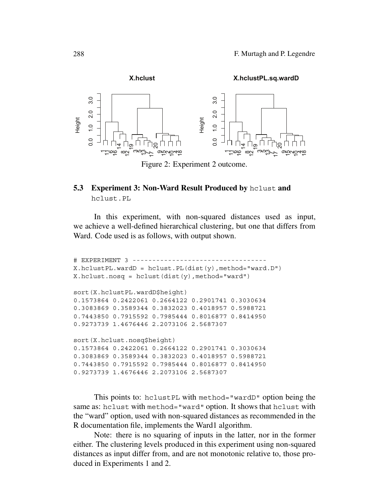

Figure 2: Experiment 2 outcome.

# **5.3 Experiment 3: Non-Ward Result Produced by** hclust **and** hclust.PL

In this experiment, with non-squared distances used as input, we achieve a well-defined hierarchical clustering, but one that differs from Ward. Code used is as follows, with output shown.

```
# EXPERIMENT 3 ----------------------------------
X.hclustPL.wardD = hclust.PL(dist(y),method="ward.D")
X.hcluster.nosq = hcluster(dist(y), method="ward")sort(X.hclustPL.wardD$height)
0.1573864 0.2422061 0.2664122 0.2901741 0.3030634
0.3083869 0.3589344 0.3832023 0.4018957 0.5988721
0.7443850 0.7915592 0.7985444 0.8016877 0.8414950
0.9273739 1.4676446 2.2073106 2.5687307
sort(X.hclust.nosq$height)
0.1573864 0.2422061 0.2664122 0.2901741 0.3030634
0.3083869 0.3589344 0.3832023 0.4018957 0.5988721
0.7443850 0.7915592 0.7985444 0.8016877 0.8414950
0.9273739 1.4676446 2.2073106 2.5687307
```
This points to: hclustPL with method="wardD" option being the same as: hclust with method="ward" option. It shows that hclust with the "ward" option, used with non-squared distances as recommended in the R documentation file, implements the Ward1 algorithm.

Note: there is no squaring of inputs in the latter, nor in the former either. The clustering levels produced in this experiment using non-squared distances as input differ from, and are not monotonic relative to, those produced in Experiments 1 and 2.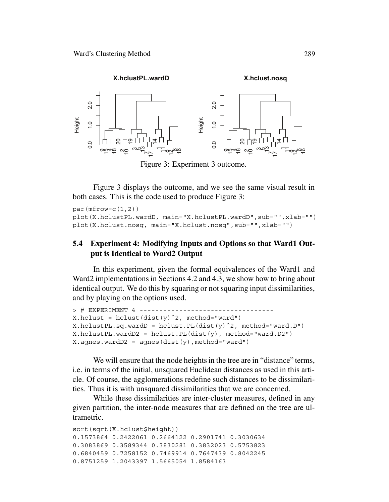

Figure 3: Experiment 3 outcome.

Figure 3 displays the outcome, and we see the same visual result in both cases. This is the code used to produce Figure 3:

```
par(mfrow=c(1,2))plot(X.hclustPL.wardD, main="X.hclustPL.wardD",sub="",xlab="")
plot(X.hclust.nosq, main="X.hclust.nosq",sub="",xlab="")
```
# **5.4 Experiment 4: Modifying Inputs and Options so that Ward1 Output is Identical to Ward2 Output**

In this experiment, given the formal equivalences of the Ward1 and Ward2 implementations in Sections 4.2 and 4.3, we show how to bring about identical output. We do this by squaring or not squaring input dissimilarities, and by playing on the options used.

```
> # EXPERIMENT 4 ----------------------------------
X.hclust = hclust(dist(y)^2, method="ward")X.hclustPL.sq.wardD = hclust.PL(dist(y)ˆ2, method="ward.D")
X.hclustPL.wardD2 = hclust.PL(dist(y), method="ward.D2")
X \text{.} \square agnes.wardD2 = agnes(dist(y), method="ward")
```
We will ensure that the node heights in the tree are in "distance" terms, i.e. in terms of the initial, unsquared Euclidean distances as used in this article. Of course, the agglomerations redefine such distances to be dissimilarities. Thus it is with unsquared dissimilarities that we are concerned.

While these dissimilarities are inter-cluster measures, defined in any given partition, the inter-node measures that are defined on the tree are ultrametric.

```
sort(sqrt(X.hclust$height))
0.1573864 0.2422061 0.2664122 0.2901741 0.3030634
0.3083869 0.3589344 0.3830281 0.3832023 0.5753823
0.6840459 0.7258152 0.7469914 0.7647439 0.8042245
0.8751259 1.2043397 1.5665054 1.8584163
```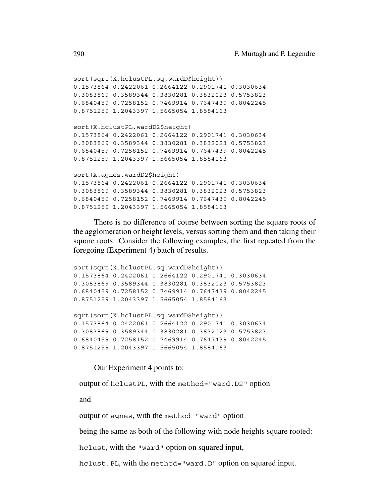```
sort(sqrt(X.hclustPL.sq.wardD$height))
0.1573864 0.2422061 0.2664122 0.2901741 0.3030634
0.3083869 0.3589344 0.3830281 0.3832023 0.5753823
0.6840459 0.7258152 0.7469914 0.7647439 0.8042245
0.8751259 1.2043397 1.5665054 1.8584163
sort(X.hclustPL.wardD2$height)
0.1573864 0.2422061 0.2664122 0.2901741 0.3030634
0.3083869 0.3589344 0.3830281 0.3832023 0.5753823
0.6840459 0.7258152 0.7469914 0.7647439 0.8042245
0.8751259 1.2043397 1.5665054 1.8584163
sort(X.agnes.wardD2$height)
0.1573864 0.2422061 0.2664122 0.2901741 0.3030634
0.3083869 0.3589344 0.3830281 0.3832023 0.5753823
0.6840459 0.7258152 0.7469914 0.7647439 0.8042245
0.8751259 1.2043397 1.5665054 1.8584163
```
There is no difference of course between sorting the square roots of the agglomeration or height levels, versus sorting them and then taking their square roots. Consider the following examples, the first repeated from the foregoing (Experiment 4) batch of results.

```
sort(sqrt(X.hclustPL.sq.wardD$height))
0.1573864 0.2422061 0.2664122 0.2901741 0.3030634
0.3083869 0.3589344 0.3830281 0.3832023 0.5753823
0.6840459 0.7258152 0.7469914 0.7647439 0.8042245
0.8751259 1.2043397 1.5665054 1.8584163
sqrt(sort(X.hclustPL.sq.wardD$height))
0.1573864 0.2422061 0.2664122 0.2901741 0.3030634
0.3083869 0.3589344 0.3830281 0.3832023 0.5753823
0.6840459 0.7258152 0.7469914 0.7647439 0.8042245
0.8751259 1.2043397 1.5665054 1.8584163
```
Our Experiment 4 points to:

output of hclustPL, with the method="ward.D2" option

and

output of agnes, with the method="ward" option

being the same as both of the following with node heights square rooted:

hclust, with the "ward" option on squared input,

hclust.PL, with the method="ward.D" option on squared input.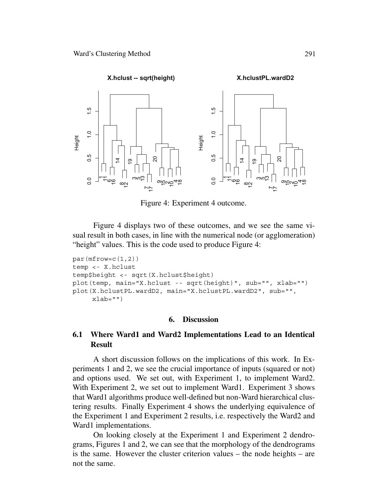

Figure 4: Experiment 4 outcome.

Figure 4 displays two of these outcomes, and we see the same visual result in both cases, in line with the numerical node (or agglomeration) "height" values. This is the code used to produce Figure 4:

```
par(mfrow=c(1,2))temp <- X.hclust
temp$height <- sqrt(X.hclust$height)
plot(temp, main="X.hclust -- sqrt(height)", sub="", xlab="")
plot(X.hclustPL.wardD2, main="X.hclustPL.wardD2", sub="",
     xlabel="="right"="math>
```
#### **6. Discussion**

## **6.1 Where Ward1 and Ward2 Implementations Lead to an Identical Result**

A short discussion follows on the implications of this work. In Experiments 1 and 2, we see the crucial importance of inputs (squared or not) and options used. We set out, with Experiment 1, to implement Ward2. With Experiment 2, we set out to implement Ward1. Experiment 3 shows that Ward1 algorithms produce well-defined but non-Ward hierarchical clustering results. Finally Experiment 4 shows the underlying equivalence of the Experiment 1 and Experiment 2 results, i.e. respectively the Ward2 and Ward1 implementations.

On looking closely at the Experiment 1 and Experiment 2 dendrograms, Figures 1 and 2, we can see that the morphology of the dendrograms is the same. However the cluster criterion values – the node heights – are not the same.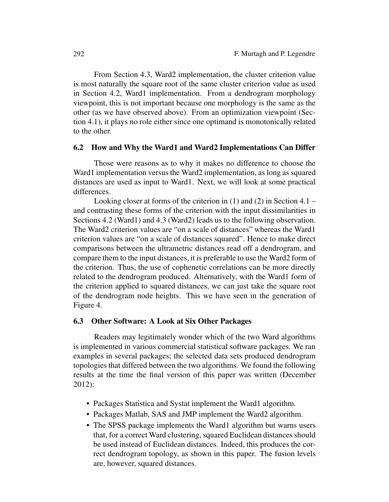From Section 4.3, Ward2 implementation, the cluster criterion value is most naturally the square root of the same cluster criterion value as used in Section 4.2, Ward1 implementation. From a dendrogram morphology viewpoint, this is not important because one morphology is the same as the other (as we have observed above). From an optimization viewpoint (Section 4.1), it plays no role either since one optimand is monotonically related to the other.

## **6.2 How and Why the Ward1 and Ward2 Implementations Can Differ**

Those were reasons as to why it makes no difference to choose the Ward1 implementation versus the Ward2 implementation, as long as squared distances are used as input to Ward1. Next, we will look at some practical differences.

Looking closer at forms of the criterion in (1) and (2) in Section 4.1 – and contrasting these forms of the criterion with the input dissimilarities in Sections 4.2 (Ward1) and 4.3 (Ward2) leads us to the following observation. The Ward2 criterion values are "on a scale of distances" whereas the Ward1 criterion values are "on a scale of distances squared". Hence to make direct comparisons between the ultrametric distances read off a dendrogram, and compare them to the input distances, it is preferable to use the Ward2 form of the criterion. Thus, the use of cophenetic correlations can be more directly related to the dendrogram produced. Alternatively, with the Ward1 form of the criterion applied to squared distances, we can just take the square root of the dendrogram node heights. This we have seen in the generation of Figure 4.

## **6.3 Other Software: A Look at Six Other Packages**

Readers may legitimately wonder which of the two Ward algorithms is implemented in various commercial statistical software packages. We ran examples in several packages; the selected data sets produced dendrogram topologies that differed between the two algorithms. We found the following results at the time the final version of this paper was written (December 2012):

- Packages Statistica and Systat implement the Ward1 algorithm.
- Packages Matlab, SAS and JMP implement the Ward2 algorithm.
- The SPSS package implements the Ward1 algorithm but warns users that, for a correct Ward clustering, squared Euclidean distances should be used instead of Euclidean distances. Indeed, this produces the correct dendrogram topology, as shown in this paper. The fusion levels are, however, squared distances.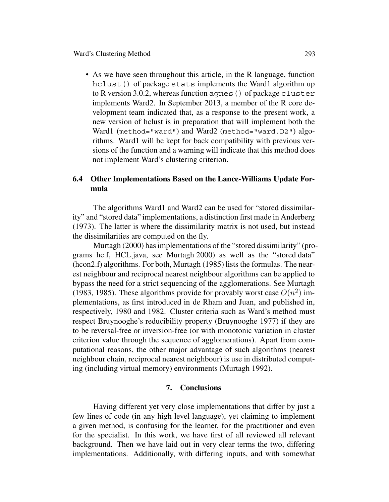• As we have seen throughout this article, in the R language, function hclust() of package stats implements the Ward1 algorithm up to R version 3.0.2, whereas function agnes() of package cluster implements Ward2. In September 2013, a member of the R core development team indicated that, as a response to the present work, a new version of hclust is in preparation that will implement both the Ward1 (method="ward") and Ward2 (method="ward.D2") algorithms. Ward1 will be kept for back compatibility with previous versions of the function and a warning will indicate that this method does not implement Ward's clustering criterion.

# **6.4 Other Implementations Based on the Lance-Williams Update Formula**

The algorithms Ward1 and Ward2 can be used for "stored dissimilarity" and "stored data" implementations, a distinction first made in Anderberg (1973). The latter is where the dissimilarity matrix is not used, but instead the dissimilarities are computed on the fly.

Murtagh (2000) has implementations of the "stored dissimilarity" (programs hc.f, HCL.java, see Murtagh 2000) as well as the "stored data" (hcon2.f) algorithms. For both, Murtagh (1985) lists the formulas. The nearest neighbour and reciprocal nearest neighbour algorithms can be applied to bypass the need for a strict sequencing of the agglomerations. See Murtagh (1983, 1985). These algorithms provide for provably worst case  $O(n^2)$  implementations, as first introduced in de Rham and Juan, and published in, respectively, 1980 and 1982. Cluster criteria such as Ward's method must respect Bruynooghe's reducibility property (Bruynooghe 1977) if they are to be reversal-free or inversion-free (or with monotonic variation in cluster criterion value through the sequence of agglomerations). Apart from computational reasons, the other major advantage of such algorithms (nearest neighbour chain, reciprocal nearest neighbour) is use in distributed computing (including virtual memory) environments (Murtagh 1992).

## **7. Conclusions**

Having different yet very close implementations that differ by just a few lines of code (in any high level language), yet claiming to implement a given method, is confusing for the learner, for the practitioner and even for the specialist. In this work, we have first of all reviewed all relevant background. Then we have laid out in very clear terms the two, differing implementations. Additionally, with differing inputs, and with somewhat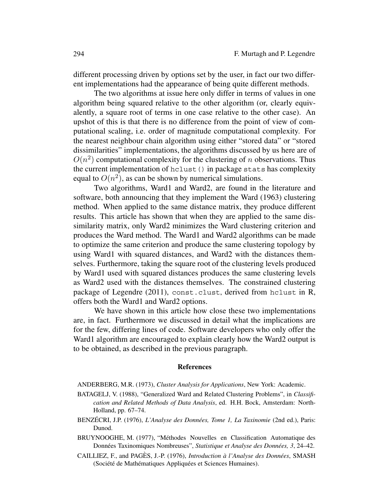different processing driven by options set by the user, in fact our two different implementations had the appearance of being quite different methods.

The two algorithms at issue here only differ in terms of values in one algorithm being squared relative to the other algorithm (or, clearly equivalently, a square root of terms in one case relative to the other case). An upshot of this is that there is no difference from the point of view of computational scaling, i.e. order of magnitude computational complexity. For the nearest neighbour chain algorithm using either "stored data" or "stored dissimilarities" implementations, the algorithms discussed by us here are of  $O(n^2)$  computational complexity for the clustering of n observations. Thus the current implementation of hclust() in package stats has complexity equal to  $O(n^2)$ , as can be shown by numerical simulations.

Two algorithms, Ward1 and Ward2, are found in the literature and software, both announcing that they implement the Ward (1963) clustering method. When applied to the same distance matrix, they produce different results. This article has shown that when they are applied to the same dissimilarity matrix, only Ward2 minimizes the Ward clustering criterion and produces the Ward method. The Ward1 and Ward2 algorithms can be made to optimize the same criterion and produce the same clustering topology by using Ward1 with squared distances, and Ward2 with the distances themselves. Furthermore, taking the square root of the clustering levels produced by Ward1 used with squared distances produces the same clustering levels as Ward2 used with the distances themselves. The constrained clustering package of Legendre (2011), const.clust, derived from hclust in R, offers both the Ward1 and Ward2 options.

We have shown in this article how close these two implementations are, in fact. Furthermore we discussed in detail what the implications are for the few, differing lines of code. Software developers who only offer the Ward1 algorithm are encouraged to explain clearly how the Ward2 output is to be obtained, as described in the previous paragraph.

#### **References**

ANDERBERG, M.R. (1973), *Cluster Analysis for Applications*, New York: Academic.

- BATAGELJ, V. (1988), "Generalized Ward and Related Clustering Problems", in *Classification and Related Methods of Data Analysis*, ed. H.H. Bock, Amsterdam: North-Holland, pp. 67–74.
- BENZÉCRI, J.P. (1976), *L'Analyse des Données, Tome 1, La Taxinomie* (2nd ed.), Paris: Dunod.
- BRUYNOOGHE, M. (1977), "M´ethodes Nouvelles en Classification Automatique des Données Taxinomiques Nombreuses", *Statistique et Analyse des Données, 3*, 24–42.
- CAILLIEZ, F., and PAGÈS, J.-P. (1976), *Introduction à l'Analyse des Données*, SMASH (Société de Mathématiques Appliquées et Sciences Humaines).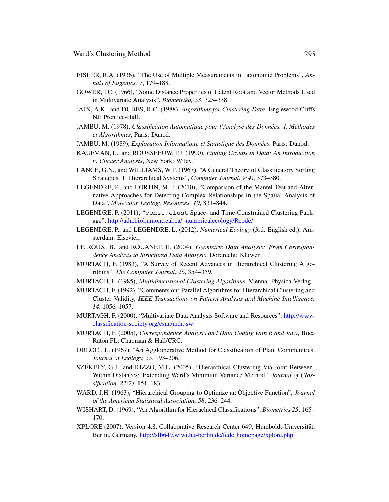- FISHER, R.A. (1936), "The Use of Multiple Measurements in Taxonomic Problems", *Annals of Eugenics, 7*, 179–188.
- GOWER, J.C. (1966), "Some Distance Properties of Latent Root and Vector Methods Used in Multivariate Analysis", *Biometrika, 53*, 325–338.
- JAIN, A.K., and DUBES, R.C. (1988), *Algorithms for Clustering Data*, Englewood Cliffs NJ: Prentice-Hall.
- JAMBU, M. (1978), *Classification Automatique pour l'Analyse des Données. I. Méthodes et Algorithmes*, Paris: Dunod.
- JAMBU, M. (1989), *Exploration Informatique et Statistique des Donn´ees*, Paris: Dunod.
- KAUFMAN, L., and ROUSSEEUW, P.J. (1990), *Finding Groups in Data: An Introduction to Cluster Analysis*, New York: Wiley.
- LANCE, G.N., and WILLIAMS, W.T. (1967), "A General Theory of Classificatory Sorting Strategies. 1. Hierarchical Systems", *Computer Journal, 9(4)*, 373–380.
- LEGENDRE, P., and FORTIN, M.-J. (2010), "Comparison of the Mantel Test and Alternative Approaches for Detecting Complex Relationships in the Spatial Analysis of Data", *Molecular Ecology Resources, 10*, 831–844.
- LEGENDRE, P. (2011), "const.clust Space- and Time-Constrained Clustering Package", http://adn.biol.umontreal.ca/~numericalecology/Rcode/
- LEGENDRE, P., and LEGENDRE, L. (2012), *Numerical Ecology* (3rd. English ed.), Amsterdam: Elsevier.
- LE ROUX, B., and ROUANET, H. (2004), *Geometric Data Analysis: From Correspondence Analysis to Structured Data Analysis*, Dordrecht: Kluwer.
- MURTAGH, F. (1983), "A Survey of Recent Advances in Hierarchical Clustering Algorithms", *The Computer Journal, 26*, 354–359.
- MURTAGH, F. (1985), *Multidimensional Clustering Algorithms*, Vienna: Physica-Verlag.
- MURTAGH, F. (1992), "Comments on: Parallel Algorithms for Hierarchical Clustering and Cluster Validity, *IEEE Transactions on Pattern Analysis and Machine Intelligence, 14*, 1056–1057.
- MURTAGH, F. (2000), "Multivariate Data Analysis Software and Resources", http://www. classification-society.org/csna/mda-sw.
- MURTAGH, F. (2005), *Correspondence Analysis and Data Coding with R and Java*, Boca Raton FL: Chapman & Hall/CRC.
- ORLÓCI, L. (1967), "An Agglomerative Method for Classification of Plant Communities, *Journal of Ecology, 55*, 193–206.
- SZÉKELY, G.J., and RIZZO, M.L. (2005), "Hierarchical Clustering Via Joint Between-Within Distances: Extending Ward's Minimum Variance Method", *Journal of Classification, 22(2)*, 151–183.
- WARD, J.H. (1963), "Hierarchical Grouping to Optimize an Objective Function", *Journal of the American Statistical Association, 58*, 236–244.
- WISHART, D. (1969), "An Algorithm for Hierachical Classifications", *Biometrics 25*, 165– 170.
- XPLORE (2007), Version 4.8, Collaborative Research Center 649, Humboldt-Universität, Berlin, Germany, http://sfb649.wiwi.hu-berlin.de/fedc homepage/xplore.php.